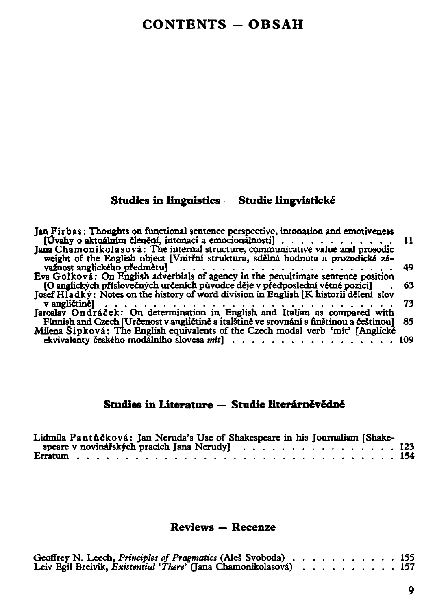## Studies in linguistics — Studie lingvisdcké

| Jan Firbas: Thoughts on functional sentence perspective, intonation and emotiveness<br>$[U$ vahy o aktuálním členění, intonaci a emocionálnosti $]$ |     |
|-----------------------------------------------------------------------------------------------------------------------------------------------------|-----|
| Jana Chamonikolasová: The internal structure, communicative value and prosodic                                                                      |     |
| weight of the English object [Vnitřní struktura, sdělná hodnota a prozodická zá-                                                                    |     |
|                                                                                                                                                     | 49  |
| Eva Golková: On English adverbials of agency in the penultimate sentence position                                                                   |     |
| [O anglických příslovečných určeních původce děje v předposlední větné pozici]                                                                      | 63  |
| Josef Hladký: Notes on the history of word division in English [K historii dělení slov                                                              |     |
|                                                                                                                                                     | 73. |
| v angličině]<br>Jaroslav Ondráček: On determination in English and Italian as compared with                                                         |     |
| Finnish and Czech [Určenost v angličtině a italštině ve srovnání s finštinou a češtinou]                                                            | 85. |
| Milena Sipková: The English equivalents of the Czech modal verb 'mit' [Anglické                                                                     |     |
|                                                                                                                                                     | 109 |

## Studies in Literature — Studie literárněvědné

| Lidmila Pantůčková: Jan Neruda's Use of Shakespeare in his Journalism [Shake- |  |  |  |  |  |  |  |  |  |  |  |  |  |  |  |  |  |
|-------------------------------------------------------------------------------|--|--|--|--|--|--|--|--|--|--|--|--|--|--|--|--|--|
|                                                                               |  |  |  |  |  |  |  |  |  |  |  |  |  |  |  |  |  |
|                                                                               |  |  |  |  |  |  |  |  |  |  |  |  |  |  |  |  |  |

## Reviews — Recenze

| Geoffrey N. Leech, Principles of Pragmatics (Ales Svoboda)    |  |  |  |  |  | 155. |
|---------------------------------------------------------------|--|--|--|--|--|------|
| Leiv Egil Breivik, Existential 'There' (Jana Chamonikolasová) |  |  |  |  |  | 157. |